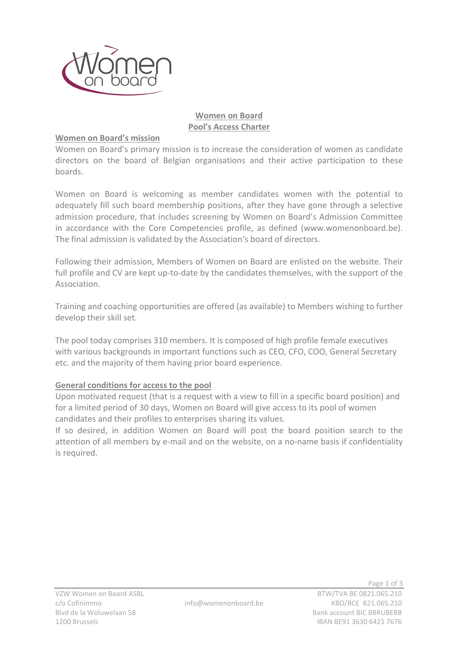

# **Women on Board Pool's Access Charter**

## **Women on Board's mission**

Women on Board's primary mission is to increase the consideration of women as candidate directors on the board of Belgian organisations and their active participation to these boards.

Women on Board is welcoming as member candidates women with the potential to adequately fill such board membership positions, after they have gone through a selective admission procedure, that includes screening by Women on Board's Admission Committee in accordance with the Core Competencies profile, as defined (www.womenonboard.be). The final admission is validated by the Association's board of directors.

Following their admission, Members of Women on Board are enlisted on the website. Their full profile and CV are kept up-to-date by the candidates themselves, with the support of the Association.

Training and coaching opportunities are offered (as available) to Members wishing to further develop their skill set.

The pool today comprises 310 members. It is composed of high profile female executives with various backgrounds in important functions such as CEO, CFO, COO, General Secretary etc. and the majority of them having prior board experience.

## **General conditions for access to the pool**

Upon motivated request (that is a request with a view to fill in a specific board position) and for a limited period of 30 days, Women on Board will give access to its pool of women candidates and their profiles to enterprises sharing its values.

If so desired, in addition Women on Board will post the board position search to the attention of all members by e-mail and on the website, on a no-name basis if confidentiality is required.

Page 1 of 3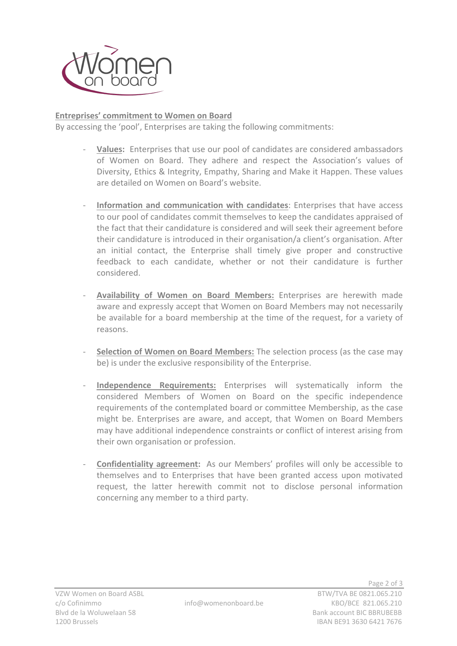

# **Entreprises' commitment to Women on Board**

By accessing the 'pool', Enterprises are taking the following commitments:

- Values: Enterprises that use our pool of candidates are considered ambassadors of Women on Board. They adhere and respect the Association's values of Diversity, Ethics & Integrity, Empathy, Sharing and Make it Happen. These values are detailed on Women on Board's website.
- Information and communication with candidates: Enterprises that have access to our pool of candidates commit themselves to keep the candidates appraised of the fact that their candidature is considered and will seek their agreement before their candidature is introduced in their organisation/a client's organisation. After an initial contact, the Enterprise shall timely give proper and constructive feedback to each candidate, whether or not their candidature is further considered.
- **Availability of Women on Board Members:** Enterprises are herewith made aware and expressly accept that Women on Board Members may not necessarily be available for a board membership at the time of the request, for a variety of reasons.
- **Selection of Women on Board Members:** The selection process (as the case may be) is under the exclusive responsibility of the Enterprise.
- **Independence Requirements:** Enterprises will systematically inform the considered Members of Women on Board on the specific independence requirements of the contemplated board or committee Membership, as the case might be. Enterprises are aware, and accept, that Women on Board Members may have additional independence constraints or conflict of interest arising from their own organisation or profession.
- **Confidentiality agreement:** As our Members' profiles will only be accessible to themselves and to Enterprises that have been granted access upon motivated request, the latter herewith commit not to disclose personal information concerning any member to a third party.

Page 2 of 3